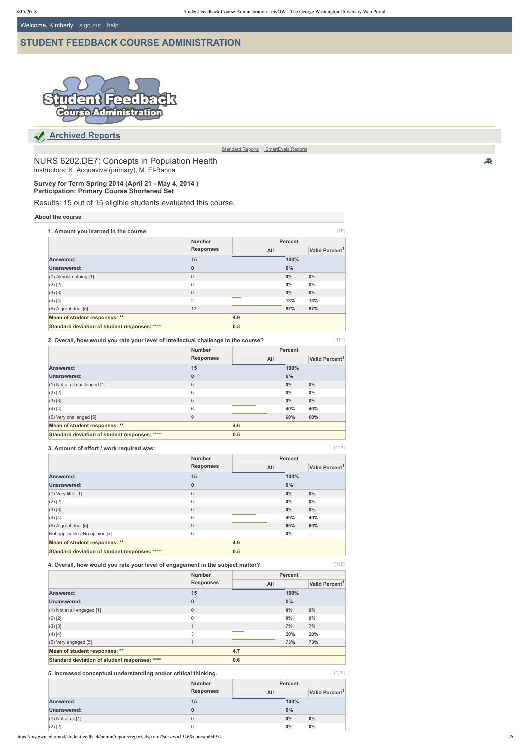Welcome, Kimberly [sign out](https://my.gwu.edu/login) help

https://my.gwu.edu/mod/studentfeedback/admin/reports/report\_dsp.cfm?survey=1346&course=94974 1/6

NURS 6202.DE7: Concepts in Population Health Instructors: K. Acquaviva (primary), M. El-Banna

# **[STUDENT FEEDBACK COURSE ADMINISTRATION](https://my.gwu.edu/mod/studentfeedback/admin/reports/)**



[117]

|  | ٧ |  |
|--|---|--|
|  |   |  |

[129]

 **[Archived Reports](https://my.gwu.edu/mod/studentfeedback/admin/reports)**

[Standard Reports](https://my.gwu.edu/mod/studentfeedback/admin/reports/index.cfm) | SmartEvals Reports

**Survey for Term Spring 2014 (April 21 May 4, 2014 ) Participation: Primary Course Shortened Set**

Results: 15 out of 15 eligible students evaluated this course.

### **About the course**

|  | 2. Overall, how would you rate your level of intellectual challenge in the course? |
|--|------------------------------------------------------------------------------------|
|  |                                                                                    |

| 1. Amount you learned in the course           |                                   |     |                | $[16]$                     |
|-----------------------------------------------|-----------------------------------|-----|----------------|----------------------------|
|                                               | <b>Number</b><br><b>Responses</b> |     | <b>Percent</b> |                            |
|                                               |                                   | All |                | Valid Percent <sup>1</sup> |
| Answered:                                     | 15                                |     | 100%           |                            |
| <b>Unanswered:</b>                            | $\bf{0}$                          |     | $0\%$          |                            |
| (1) Almost nothing [1]                        | $\mathbf{0}$                      |     | $0\%$          | $0\%$                      |
| $(2)$ [2]                                     | $\mathbf 0$                       |     | $0\%$          | $0\%$                      |
| (3) [3]                                       | $\Omega$                          |     | $0\%$          | $0\%$                      |
| (4) [4]                                       | 2                                 |     | 13%            | 13%                        |
| $(5)$ A great deal $[5]$                      | 13                                |     | 87%            | 87%                        |
| Mean of student responses: **                 |                                   | 4.9 |                |                            |
| Standard deviation of student responses: **** |                                   | 0.3 |                |                            |

| 3. Amount of effort / work required was:      |                  |     |                | [123]                      |  |
|-----------------------------------------------|------------------|-----|----------------|----------------------------|--|
|                                               | <b>Number</b>    |     | <b>Percent</b> |                            |  |
|                                               | <b>Responses</b> | All |                | Valid Percent <sup>1</sup> |  |
| Answered:                                     | 15               |     | 100%           |                            |  |
| Unanswered:                                   | $\mathbf 0$      |     | 0%             |                            |  |
| $(1)$ Very little $[1]$                       | $\mathbf{0}$     |     | 0%             | $0\%$                      |  |
| $(2)$ [2]                                     | $\mathbf 0$      |     | 0%             | $0\%$                      |  |
| $(3)$ [3]                                     | $\mathbf{0}$     |     | $0\%$          | $0\%$                      |  |
| $(4)$ [4]                                     | 6                |     | 40%            | 40%                        |  |
| $(5)$ A great deal $[5]$                      | 9                |     | 60%            | 60%                        |  |
| Not applicable / No opinion [x]               | $\mathbf 0$      |     | 0%             | $\overline{\phantom{a}}$   |  |
| Mean of student responses: **                 |                  | 4.6 |                |                            |  |
| Standard deviation of student responses: **** |                  | 0.5 |                |                            |  |

#### **3. Amount of effort / work required was:**

|                                               | <b>Number</b>    |     | <b>Percent</b> |                            |  |
|-----------------------------------------------|------------------|-----|----------------|----------------------------|--|
|                                               | <b>Responses</b> | All |                | Valid Percent <sup>1</sup> |  |
| Answered:                                     | 15               |     | 100%           |                            |  |
| Unanswered:                                   | $\bf{0}$         |     | $0\%$          |                            |  |
| $(1)$ Not at all challenged $[1]$             | $\mathbf 0$      |     | 0%             | $0\%$                      |  |
| $(2)$ [2]                                     | $\mathbf 0$      |     | 0%             | $0\%$                      |  |
| (3) [3]                                       | $\mathbf{0}$     |     | $0\%$          | 0%                         |  |
| (4) [4]                                       | 6                |     | 40%            | 40%                        |  |
| $(5)$ Very challenged [5]                     | 9                |     | 60%            | 60%                        |  |
| Mean of student responses: **                 |                  | 4.6 |                |                            |  |
| Standard deviation of student responses: **** |                  | 0.5 |                |                            |  |

**4. Overall, how would you rate your level of engagement in the subject matter?**

|                                               | <b>Number</b><br><b>Responses</b> |        | <b>Percent</b> |                            |
|-----------------------------------------------|-----------------------------------|--------|----------------|----------------------------|
|                                               |                                   | All    |                | Valid Percent <sup>1</sup> |
| Answered:                                     | 15                                |        | 100%           |                            |
| Unanswered:                                   | $\bf{0}$                          |        | $0\%$          |                            |
| (1) Not at all engaged [1]                    | $\mathbf{0}$                      |        | $0\%$          | $0\%$                      |
| $(2)$ [2]                                     | 0                                 |        | $0\%$          | $0\%$                      |
| (3) [3]                                       | $\mathbf{1}$                      | $\sim$ | 7%             | 7%                         |
| (4) [4]                                       | 3                                 |        | 20%            | 20%                        |
| (5) Very engaged [5]                          | 11                                |        | 73%            | 73%                        |
| Mean of student responses: **                 |                                   | 4.7    |                |                            |
| Standard deviation of student responses: **** |                                   | 0.6    |                |                            |

### **5. Increased conceptual understanding and/or critical thinking.**

|                        | <b>Number</b><br><b>Responses</b> |     | <b>Percent</b> |                            |
|------------------------|-----------------------------------|-----|----------------|----------------------------|
|                        |                                   | All |                | Valid Percent <sup>1</sup> |
| Answered:              | 15                                |     | 100%           |                            |
| Unanswered:            | 0                                 |     | 0%             |                            |
| $(1)$ Not at all $[1]$ | $\mathbf{0}$                      |     | $0\%$          | $0\%$                      |
| $(2)$ [2]              | 0                                 |     | $0\%$          | $0\%$                      |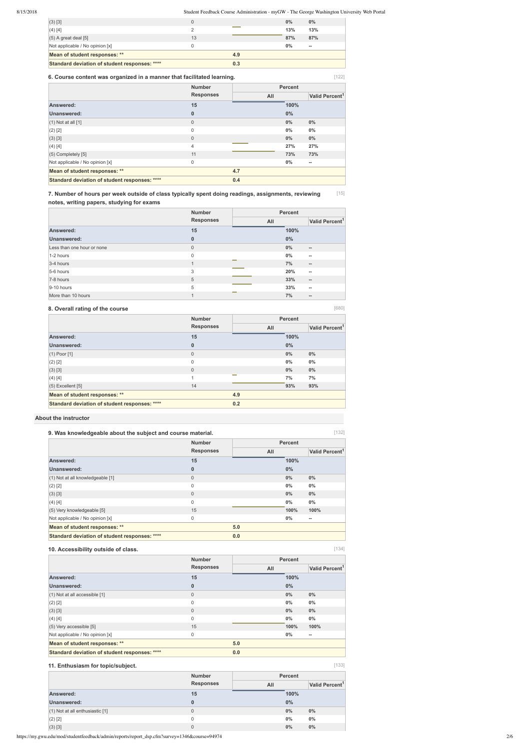### 8/15/2018 Student Feedback Course Administration - myGW - The George Washington University Web Portal

https://my.gwu.edu/mod/studentfeedback/admin/reports/report\_dsp.cfm?survey=1346&course=94974 2/6

[680]

[134]

[133]

| Standard deviation of student responses: **** |    | 0.3 |     |                          |  |
|-----------------------------------------------|----|-----|-----|--------------------------|--|
| Mean of student responses: **                 |    | 4.9 |     |                          |  |
| Not applicable / No opinion [x]               |    |     | 0%  | $\hspace{0.05cm} \bar{}$ |  |
| $(5)$ A great deal $[5]$                      | 13 |     | 87% | 87%                      |  |
| $(4)$ [4]                                     |    |     | 13% | 13%                      |  |
| $(3)$ [3]                                     | 0  |     | 0%  | $0\%$                    |  |
|                                               |    |     |     |                          |  |

| 6. Course content was organized in a manner that facilitated learning. |                  |     |                | [122]                      |
|------------------------------------------------------------------------|------------------|-----|----------------|----------------------------|
|                                                                        | <b>Number</b>    |     | <b>Percent</b> |                            |
|                                                                        | <b>Responses</b> | All |                | Valid Percent <sup>1</sup> |
| Answered:                                                              | 15               |     | 100%           |                            |
| Unanswered:                                                            | $\mathbf 0$      |     | $0\%$          |                            |
| $(1)$ Not at all $[1]$                                                 | 0                |     | 0%             | $0\%$                      |
| $(2)$ [2]                                                              | $\mathbf 0$      |     | 0%             | $0\%$                      |
| $(3)$ [3]                                                              | $\mathbf{0}$     |     | $0\%$          | $0\%$                      |
| $(4)$ [4]                                                              | 4                |     | 27%            | 27%                        |
| $(5)$ Completely $[5]$                                                 | 11               |     | 73%            | 73%                        |
| Not applicable / No opinion [x]                                        | 0                |     | $0\%$          | $\hspace{0.05cm}$          |
| Mean of student responses: **                                          |                  | 4.7 |                |                            |
| Standard deviation of student responses: ****                          |                  | 0.4 |                |                            |

[15] **7. Number of hours per week outside of class typically spent doing readings, assignments, reviewing notes, writing papers, studying for exams**

### **8. Overall rating of the course**

| 9. Was knowledgeable about the subject and course material. |                  |     |                | [132]                      |
|-------------------------------------------------------------|------------------|-----|----------------|----------------------------|
|                                                             | <b>Number</b>    |     | <b>Percent</b> |                            |
|                                                             | <b>Responses</b> | All |                | Valid Percent <sup>1</sup> |
| Answered:                                                   | 15               |     | 100%           |                            |
| <b>Unanswered:</b>                                          | $\bf{0}$         |     | $0\%$          |                            |
| (1) Not at all knowledgeable [1]                            | $\overline{0}$   |     | 0%             | 0%                         |
| $(2)$ [2]                                                   | $\mathbf 0$      |     | $0\%$          | $0\%$                      |
| $(3)$ [3]                                                   | $\overline{0}$   |     | $0\%$          | $0\%$                      |
| (4) [4]                                                     | $\mathbf 0$      |     | $0\%$          | $0\%$                      |
| (5) Very knowledgeable [5]                                  | 15               |     | 100%           | 100%                       |
| Not applicable / No opinion [x]                             | $\mathsf 0$      |     | $0\%$          | --                         |
| Mean of student responses: **                               |                  | 5.0 |                |                            |
| Standard deviation of student responses: ****               |                  | 0.0 |                |                            |

### **About the instructor**

|                            | <b>Number</b>    |        | <b>Percent</b> |                            |
|----------------------------|------------------|--------|----------------|----------------------------|
|                            | <b>Responses</b> | All    |                | Valid Percent <sup>1</sup> |
| Answered:                  | 15               |        | 100%           |                            |
| Unanswered:                | $\bf{0}$         |        | $0\%$          |                            |
| Less than one hour or none | $\mathbf{0}$     |        | $0\%$          | $\overline{\phantom{a}}$   |
| 1-2 hours                  | $\mathbf 0$      |        | $0\%$          | $\hspace{0.05cm} \bar{}$   |
| 3-4 hours                  | $\mathbf{1}$     | --     | 7%             | $\hspace{0.05cm} \cdots$   |
| 5-6 hours                  | 3                |        | 20%            | $\overline{\phantom{a}}$   |
| 7-8 hours                  | 5                |        | 33%            | $\overline{\phantom{a}}$   |
| $9-10$ hours               | 5                |        | 33%            | $\overline{\phantom{a}}$   |
| More than 10 hours         | $\overline{1}$   | $\sim$ | 7%             | $\hspace{0.05cm} \bar{}$   |

|                                               | <b>Number</b><br><b>Responses</b> |        | <b>Percent</b> |                            |
|-----------------------------------------------|-----------------------------------|--------|----------------|----------------------------|
|                                               |                                   | All    |                | Valid Percent <sup>1</sup> |
| Answered:                                     | 15                                |        | 100%           |                            |
| Unanswered:                                   | $\bf{0}$                          |        | $0\%$          |                            |
| $(1)$ Poor $[1]$                              | $\mathbf 0$                       |        | $0\%$          | $0\%$                      |
| $(2)$ [2]                                     | $\mathbf 0$                       |        | $0\%$          | $0\%$                      |
| (3) [3]                                       | $\mathbf 0$                       |        | $0\%$          | $0\%$                      |
| (4) [4]                                       | $\mathbf{1}$                      | $\sim$ | 7%             | 7%                         |
| $(5)$ Excellent $[5]$                         | 14                                |        | 93%            | 93%                        |
| Mean of student responses: **                 |                                   | 4.9    |                |                            |
| Standard deviation of student responses: **** |                                   | 0.2    |                |                            |

### **10. Accessibility outside of class.**

| <b>Number</b> | <b>Percent</b> |
|---------------|----------------|
|               |                |

|                                               | <b>Responses</b> | All |       | Valid Percent <sup>1</sup> |
|-----------------------------------------------|------------------|-----|-------|----------------------------|
| Answered:                                     | 15               |     | 100%  |                            |
| <b>Unanswered:</b>                            | 0                |     | $0\%$ |                            |
| $(1)$ Not at all accessible $[1]$             | 0                |     | $0\%$ | $0\%$                      |
| $(2)$ [2]                                     | $\mathbf{0}$     |     | $0\%$ | $0\%$                      |
| $(3)$ [3]                                     | $\mathbf{0}$     |     | $0\%$ | $0\%$                      |
| (4) [4]                                       | $\mathbf{0}$     |     | $0\%$ | $0\%$                      |
| $(5)$ Very accessible [5]                     | 15               |     | 100%  | 100%                       |
| Not applicable / No opinion [x]               | $\mathbf 0$      |     | $0\%$ | $\overline{\phantom{a}}$   |
| Mean of student responses: **                 |                  | 5.0 |       |                            |
| Standard deviation of student responses: **** |                  | 0.0 |       |                            |

### **11. Enthusiasm for topic/subject.**

| <b>Number</b>                       |                  |     | <b>Percent</b> |                            |
|-------------------------------------|------------------|-----|----------------|----------------------------|
|                                     | <b>Responses</b> | All |                | Valid Percent <sup>1</sup> |
| Answered:                           | 15               |     | 100%           |                            |
| Unanswered:                         | 0                |     | 0%             |                            |
| $(1)$ Not at all enthusiastic $[1]$ | 0                |     | $0\%$          | $0\%$                      |
| $(2)$ [2]                           | 0                |     | $0\%$          | $0\%$                      |
| (3) [3]                             | 0                |     | 0%             | $0\%$                      |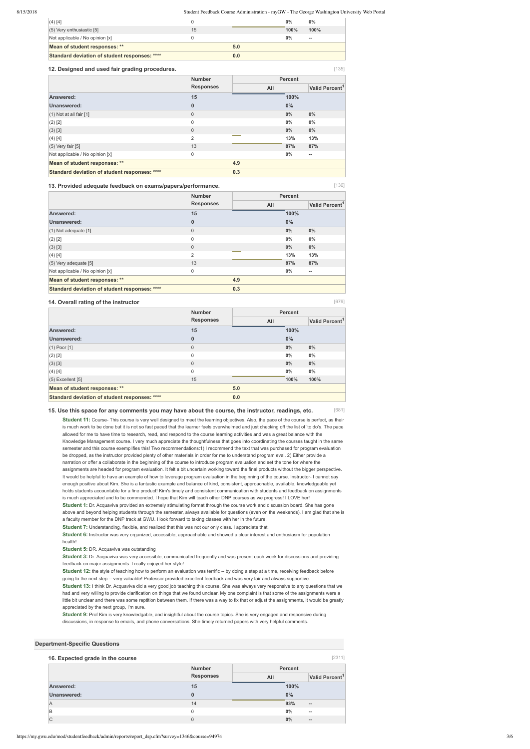#### 8/15/2018 Student Feedback Course Administration - myGW - The George Washington University Web Portal

[135]

[136]

[679]

[681]

[2311]

| $(4)$ [4]                                     |    |     | $0\%$ | $0\%$ |
|-----------------------------------------------|----|-----|-------|-------|
| $(5)$ Very enthusiastic [5]                   | 15 |     | 100%  | 100%  |
| Not applicable / No opinion [x]               |    |     | $0\%$ | $- -$ |
| Mean of student responses: **                 |    | 5.0 |       |       |
| Standard deviation of student responses: **** |    | 0.0 |       |       |

#### **12. Designed and used fair grading procedures.**

#### **13. Provided adequate feedback on exams/papers/performance.**

#### **14. Overall rating of the instructor**

#### **15. Use this space for any comments you may have about the course, the instructor, readings, etc.**

Student 11: Course- This course is very well designed to meet the learning objectives. Also, the pace of the course is perfect, as their is much work to be done but it is not so fast paced that the learner feels overwhelmed and just checking off the list of 'to do's. The pace allowed for me to have time to research, read, and respond to the course learning activities and was a great balance with the Knowledge Management course. I very much appreciate the thoughtfulness that goes into coordinating the courses taught in the same semester and this course exemplifies this! Two recommendations:1) I recommend the text that was purchased for program evaluation be dropped, as the instructor provided plenty of other materials in order for me to understand program eval. 2) Either provide a narration or offer a collaborate in the beginning of the course to introduce program evaluation and set the tone for where the assignments are headed for program evaluation. It felt a bit uncertain working toward the final products without the bigger perspective. It would be helpful to have an example of how to leverage program evaluation in the beginning of the course. Instructor- I cannot say enough positive about Kim. She is a fantastic example and balance of kind, consistent, approachable, available, knowledgeable yet holds students accountable for a fine product! Kim's timely and consistent communication with students and feedback on assignments is much appreciated and to be commended. I hope that Kim will teach other DNP courses as we progress! I LOVE her! **Student 1:** Dr. Acquaviva provided an extremely stimulating format through the course work and discussion board. She has gone above and beyond helping students through the semester, always available for questions (even on the weekends). I am glad that she is a faculty member for the DNP track at GWU. I look forward to taking classes with her in the future. **Student 7:** Understanding, flexible, and realized that this was not our only class. I appreciate that.

|                                               | <b>Number</b>    |     | <b>Percent</b> |                            |
|-----------------------------------------------|------------------|-----|----------------|----------------------------|
|                                               | <b>Responses</b> | All |                | Valid Percent <sup>1</sup> |
| Answered:                                     | 15               |     | 100%           |                            |
| Unanswered:                                   | $\bf{0}$         |     | $0\%$          |                            |
| $(1)$ Not at all fair $[1]$                   | $\mathsf 0$      |     | 0%             | $0\%$                      |
| $(2)$ [2]                                     | 0                |     | 0%             | $0\%$                      |
| (3) [3]                                       | $\mathbf{0}$     |     | $0\%$          | $0\%$                      |
| $(4)$ [4]                                     | $\overline{2}$   |     | 13%            | 13%                        |
| $(5)$ Very fair $[5]$                         | 13               |     | 87%            | 87%                        |
| Not applicable / No opinion [x]               | 0                |     | $0\%$          | $\overline{\phantom{a}}$   |
| Mean of student responses: **                 |                  | 4.9 |                |                            |
| Standard deviation of student responses: **** |                  | 0.3 |                |                            |

|                                               | <b>Number</b><br><b>Responses</b> |     | <b>Percent</b> |                            |
|-----------------------------------------------|-----------------------------------|-----|----------------|----------------------------|
|                                               |                                   | All |                | Valid Percent <sup>1</sup> |
| Answered:                                     | 15                                |     | 100%           |                            |
| Unanswered:                                   | $\bf{0}$                          |     | $0\%$          |                            |
| $(1)$ Not adequate $[1]$                      | $\mathbf 0$                       |     | $0\%$          | $0\%$                      |
| $(2)$ [2]                                     | $\mathbf 0$                       |     | $0\%$          | $0\%$                      |
| (3) [3]                                       | $\mathbf{0}$                      |     | $0\%$          | $0\%$                      |
| (4) [4]                                       | $\overline{2}$                    |     | 13%            | 13%                        |
| (5) Very adequate [5]                         | 13                                |     | 87%            | 87%                        |
| Not applicable / No opinion [x]               | $\mathbf 0$                       |     | 0%             | --                         |
| Mean of student responses: **                 |                                   | 4.9 |                |                            |
| Standard deviation of student responses: **** |                                   | 0.3 |                |                            |

|                                               | <b>Number</b>    | <b>Percent</b> |       |                            |  |
|-----------------------------------------------|------------------|----------------|-------|----------------------------|--|
|                                               | <b>Responses</b> | All            |       | Valid Percent <sup>1</sup> |  |
| Answered:                                     | 15               |                | 100%  |                            |  |
| Unanswered:                                   | $\bf{0}$         |                | 0%    |                            |  |
| $(1)$ Poor $[1]$                              | $\mathbf 0$      |                | 0%    | $0\%$                      |  |
| $(2)$ [2]                                     | $\mathbf 0$      |                | 0%    | $0\%$                      |  |
| (3) [3]                                       | $\mathbf{0}$     |                | $0\%$ | $0\%$                      |  |
| (4) [4]                                       | $\mathbf 0$      |                | 0%    | $0\%$                      |  |
| $(5)$ Excellent [5]                           | 15               |                | 100%  | 100%                       |  |
| Mean of student responses: **                 |                  | 5.0            |       |                            |  |
| Standard deviation of student responses: **** |                  | 0.0            |       |                            |  |

### **Student 6:** Instructor was very organized, accessible, approachable and showed a clear interest and enthusiasm for population health!

**Student 5:** DR. Acquaviva was outstanding

**Student 3:** Dr. Acquaviva was very accessible, communicated frequently and was present each week for discussions and providing feedback on major assignments. I really enjoyed her style!

**Student 12:** the style of teaching how to perform an evaluation was terrific -- by doing a step at a time, receiving feedback before going to the next step -- very valuable! Professor provided excellent feedback and was very fair and always supportive.

**Student 13:** I think Dr. Acquaviva did a very good job teaching this course. She was always very responsive to any questions that we had and very willing to provide clarification on things that we found unclear. My one complaint is that some of the assignments were a little bit unclear and there was some reptition between them. If there was a way to fix that or adjust the assignments, it would be greatly appreciated by the next group, I'm sure.

**Student 9:** Prof Kim is very knowledgable, and insightful about the course topics. She is very engaged and responsive during discussions, in response to emails, and phone conversations. She timely returned papers with very helpful comments.

#### **Department-Specific Questions**

#### **16. Expected grade in the course**

|             | <b>Number</b>    | <b>Percent</b> |                            |
|-------------|------------------|----------------|----------------------------|
|             | <b>Responses</b> | All            | Valid Percent <sup>1</sup> |
| Answered:   | 15               | 100%           |                            |
| Unanswered: |                  | 0%             |                            |
| ΙA          | 14               | 93%            | $\hspace{0.05cm} \bar{}$   |
| ΙB          | 0                | 0%             | $- -$                      |
| C           | 0                | 0%             | $\qquad \qquad \cdots$     |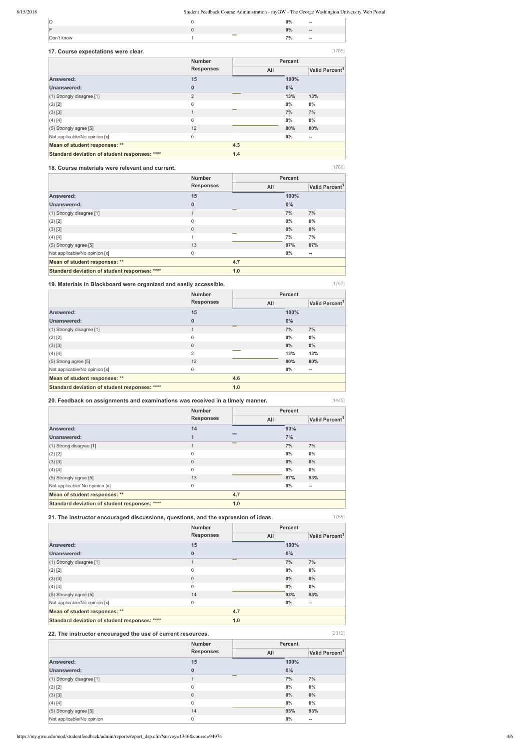### 8/15/2018 Student Feedback Course Administration - myGW - The George Washington University Web Portal

[1765]

[1767]

[1445]

[1768]

[2312]

| ID         |                        | 2% | $- -$ |
|------------|------------------------|----|-------|
| ⊩          |                        | 2% | $- -$ |
| Don't know | <b>College College</b> | 7% | $-$   |

#### **17. Course expectations were clear.**  $\Box$ **Number Percent**

### **18. Course materials were relevant and current.**

### **19. Materials in Blackboard were organized and easily accessible.**

| 18. Course materials were relevant and current. |                  |     |                | [1766]                     |
|-------------------------------------------------|------------------|-----|----------------|----------------------------|
|                                                 | <b>Number</b>    |     | <b>Percent</b> |                            |
|                                                 | <b>Responses</b> | All |                | Valid Percent <sup>1</sup> |
| Answered:                                       | 15               |     | 100%           |                            |
| Unanswered:                                     | $\bf{0}$         |     | $0\%$          |                            |
| (1) Strongly disagree [1]                       | 1                |     | 7%             | 7%                         |
| $(2)$ [2]                                       | $\mathbf{0}$     |     | 0%             | $0\%$                      |
| $(3)$ [3]                                       | $\mathbf{0}$     |     | $0\%$          | $0\%$                      |
| (4) [4]                                         | $\overline{A}$   |     | 7%             | 7%                         |
| $(5)$ Strongly agree [5]                        | 13               |     | 87%            | 87%                        |
| Not applicable/No opinion [x]                   | $\mathbf{0}$     |     | $0\%$          | $\overline{\phantom{a}}$   |
| Mean of student responses: **                   |                  | 4.7 |                |                            |
| Standard deviation of student responses: ****   |                  | 1.0 |                |                            |

|                                               | <b>ITULINGL</b>  |     | <b>L</b> el eglir |                            |
|-----------------------------------------------|------------------|-----|-------------------|----------------------------|
|                                               | <b>Responses</b> | All |                   | Valid Percent <sup>1</sup> |
| Answered:                                     | 15               |     | 100%              |                            |
| Unanswered:                                   | $\bf{0}$         |     | $0\%$             |                            |
| $(1)$ Strongly disagree [1]                   | $\overline{2}$   |     | 13%               | 13%                        |
| $(2)$ [2]                                     | $\mathbf 0$      |     | $0\%$             | $0\%$                      |
| (3) [3]                                       | $\mathbf{1}$     |     | 7%                | 7%                         |
| (4) [4]                                       | $\mathbf 0$      |     | 0%                | $0\%$                      |
| $(5)$ Strongly agree [5]                      | 12               |     | 80%               | 80%                        |
| Not applicable/No opinion [x]                 | 0                |     | $0\%$             | $\overline{\phantom{a}}$   |
| Mean of student responses: **                 |                  | 4.3 |                   |                            |
| Standard deviation of student responses: **** |                  | 1.4 |                   |                            |

**20. Feedback on assignments and examinations was received in a timely manner.**

|                                               | <b>Number</b>    |        |       | <b>Percent</b>             |  |
|-----------------------------------------------|------------------|--------|-------|----------------------------|--|
|                                               | <b>Responses</b> | All    |       | Valid Percent <sup>1</sup> |  |
| Answered:                                     | 15               |        | 100%  |                            |  |
| Unanswered:                                   | 0                |        | $0\%$ |                            |  |
| (1) Strongly disagree [1]                     | $\overline{1}$   | $\sim$ | 7%    | 7%                         |  |
| $(2)$ [2]                                     | $\mathbf{0}$     |        | $0\%$ | $0\%$                      |  |
| $(3)$ [3]                                     | $\mathbf{0}$     |        | $0\%$ | $0\%$                      |  |
| (4) [4]                                       | $\overline{2}$   |        | 13%   | 13%                        |  |
| $(5)$ Strong agree [5]                        | 12               |        | 80%   | 80%                        |  |
| Not applicable/No opinion [x]                 | $\mathbf 0$      |        | $0\%$ | $\overline{\phantom{a}}$   |  |
| Mean of student responses: **                 |                  | 4.6    |       |                            |  |
| Standard deviation of student responses: **** |                  | 1.0    |       |                            |  |

**21. The instructor encouraged discussions, questions, and the expression of ideas.**

| <b>Number</b>    |     | <b>Percent</b> |                          |  |
|------------------|-----|----------------|--------------------------|--|
| <b>Responses</b> | All |                |                          |  |
| 14               |     | 93%            |                          |  |
| $\mathbf{1}$     |     | 7%             |                          |  |
|                  | --  | 7%             | 7%                       |  |
| $\mathsf 0$      |     | 0%             | $0\%$                    |  |
| $\overline{0}$   |     | 0%             | $0\%$                    |  |
| $\mathsf 0$      |     | 0%             | $0\%$                    |  |
| 13               |     | 87%            | 93%                      |  |
| $\mathsf 0$      |     | $0\%$          | $\overline{\phantom{a}}$ |  |
|                  | 4.7 |                |                          |  |
|                  | 1.0 |                |                          |  |
|                  |     |                |                          |  |

|                                               | <b>Number</b>    | <b>Percent</b> |       |                          |
|-----------------------------------------------|------------------|----------------|-------|--------------------------|
|                                               | <b>Responses</b> | All            |       |                          |
| Answered:                                     | 15               |                | 100%  |                          |
| Unanswered:                                   | $\bf{0}$         |                | $0\%$ |                          |
| (1) Strongly disagree [1]                     | $\mathbf 1$      | $\sim$         | 7%    | 7%                       |
| (2) [2]                                       | 0                |                | $0\%$ | $0\%$                    |
| (3) [3]                                       | $\mathbf 0$      |                | $0\%$ | $0\%$                    |
| (4) [4]                                       | $\mathbf 0$      |                | 0%    | $0\%$                    |
| $(5)$ Strongly agree [5]                      | 14               |                | 93%   | 93%                      |
| Not applicable/No opinion [x]                 | 0                |                | 0%    | $\overline{\phantom{a}}$ |
| Mean of student responses: **                 |                  | 4.7            |       |                          |
| Standard deviation of student responses: **** |                  | 1.0            |       |                          |

### **22. The instructor encouraged the use of current resources.**

|                           | <b>Number</b>       | <b>Percent</b>                    |  |  |  |
|---------------------------|---------------------|-----------------------------------|--|--|--|
|                           | <b>Responses</b>    | Valid Percent <sup>1</sup><br>All |  |  |  |
| Answered:                 | 15                  | 100%                              |  |  |  |
| <b>Unanswered:</b>        | $\bf{0}$            | $0\%$                             |  |  |  |
| (1) Strongly disagree [1] | $\sim$<br>1         | 7%<br>7%                          |  |  |  |
| $(2)$ [2]                 | $\mathsf 0$         | $0\%$<br>$0\%$                    |  |  |  |
| (3) [3]                   | $\mathsf{O}\xspace$ | 0%<br>$0\%$                       |  |  |  |
| (4) [4]                   | $\mathsf 0$         | $0\%$<br>$0\%$                    |  |  |  |
| $(5)$ Strongly agree [5]  | 14                  | 93%<br>93%                        |  |  |  |
| Not applicable/No opinion | $\mathbf 0$         | $0\%$<br>$\hspace{0.05cm} \bar{}$ |  |  |  |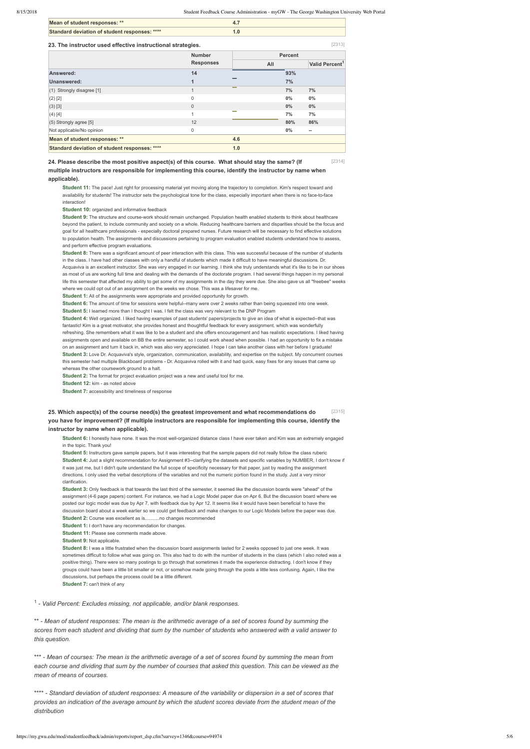[2313]

| Mean of student responses: **                 |  |
|-----------------------------------------------|--|
| Standard deviation of student responses: **** |  |

#### **23. The instructor used effective instructional strategies.**

[2314] **24. Please describe the most positive aspect(s) of this course. What should stay the same? (If multiple instructors are responsible for implementing this course, identify the instructor by name when applicable).**

**Student 9:** The structure and course-work should remain unchanged. Population health enabled students to think about healthcare beyond the patient, to include community and society on a whole. Reducing healthcare barriers and disparities should be the focus and goal for all healthcare professionals especially doctoral prepared nurses. Future research will be necessary to find effective solutions to population health. The assignments and discussions pertaining to program evaluation enabled students understand how to assess, and perform effective program evaluations.

**Student 11:** The pace! Just right for processing material yet moving along the trajectory to completion. Kim's respect toward and availability for students! The instructor sets the psychological tone for the class, especially important when there is no face-to-face interaction!

**Student 10: organized and informative feedback** 

Student 4: Well organized. I liked having examples of past students' papers/projects to give an idea of what is expected--that was fantastic! Kim is a great motivator, she provides honest and thoughtful feedback for every assignment, which was wonderfully refreshing. She remembers what it was like to be a student and she offers encouragement and has realistic expectations. I liked having assignments open and available on BB the entire semester, so I could work ahead when possible. I had an opportunity to fix a mistake on an assignment and turn it back in, which was also very appreciated. I hope I can take another class with her before I graduate! **Student 3:** Love Dr. Acquaviva's style, organization, communication, availability, and expertise on the subject. My concurrent courses this semester had multiple Blackboard problems - Dr. Acquaviva rolled with it and had quick, easy fixes for any issues that came up whereas the other coursework ground to a halt.

**Student 8:** There was a significant amount of peer interaction with this class. This was successful because of the number of students in the class. I have had other classes with only a handful of students which made it difficult to have meaningful discussions. Dr. Acquaviva is an excellent instructor. She was very engaged in our learning. I think she truly understands what it's like to be in our shoes as most of us are working full time and dealing with the demands of the doctorate program. I had several things happen in my personal life this semester that affected my ability to get some of my assignments in the day they were due. She also gave us all "freebee" weeks where we could opt out of an assignment on the weeks we chose. This was a lifesaver for me.

**Student 1:** All of the assignments were appropriate and provided opportunity for growth.

**Student 6:** The amount of time for sessions were helpful--many were over 2 weeks rather than being squeezed into one week.

Student 6: I honestly have none. It was the most well-organized distance class I have ever taken and Kim was an extremely engaged in the topic. Thank you!

[2315] **25. Which aspect(s) of the course need(s) the greatest improvement and what recommendations do you have for improvement? (If multiple instructors are responsible for implementing this course, identify the instructor by name when applicable).**

**Student 5:** I learned more than I thought I was. I felt the class was very relevant to the DNP Program

|                                               | <b>Number</b>    |     | <b>Percent</b> |                          |  |  |
|-----------------------------------------------|------------------|-----|----------------|--------------------------|--|--|
|                                               | <b>Responses</b> | All |                |                          |  |  |
| Answered:                                     | 14               |     | 93%            |                          |  |  |
| Unanswered:                                   | 1                |     | 7%             |                          |  |  |
| $(1)$ Strongly disagree [1]                   | 1                | --  | 7%             | 7%                       |  |  |
| $(2)$ [2]                                     | $\mathbf 0$      |     | $0\%$          | $0\%$                    |  |  |
| $(3)$ [3]                                     | $\mathbf{0}$     |     | 0%             | $0\%$                    |  |  |
| $(4)$ [4]                                     | $\overline{A}$   |     | 7%             | 7%                       |  |  |
| $(5)$ Strongly agree [5]                      | 12               |     | 80%            | 86%                      |  |  |
| Not applicable/No opinion                     | $\mathbf 0$      |     | $0\%$          | $\overline{\phantom{a}}$ |  |  |
| Mean of student responses: **                 |                  | 4.6 |                |                          |  |  |
| Standard deviation of student responses: **** |                  | 1.0 |                |                          |  |  |

**Student 2:** The format for project evaluation project was a new and useful tool for me.

**Student 12:** kim - as noted above

**Student 7:** accessibility and timeliness of response

**Student 5:** Instructors gave sample papers, but it was interesting that the sample papers did not really follow the class ruberic **Student 4:** Just a slight recommendation for Assignment #3--clarifying the datasets and specific variables by NUMBER. I don't know if it was just me, but I didn't quite understand the full scope of specificity necessary for that paper, just by reading the assignment directions. I only used the verbal descriptions of the variables and not the numeric portion found in the study. Just a very minor clarification.

**Student 3:** Only feedback is that towards the last third of the semester, it seemed like the discussion boards were "ahead" of the assignment (46 page papers) content. For instance, we had a Logic Model paper due on Apr 6. But the discussion board where we posted our logic model was due by Apr 7, with feedback due by Apr 12. It seems like it would have been beneficial to have the discussion board about a week earlier so we could get feedback and make changes to our Logic Models before the paper was due. **Student 2:** Course was excellent as is...........no changes recommended

**Student 1:** I don't have any recommendation for changes

**Student 11:** Please see comments made above.

**Student 9: Not applicable** 

**Student 8:** I was a little frustrated when the discussion board assignments lasted for 2 weeks opposed to just one week. It was sometimes difficult to follow what was going on. This also had to do with the number of students in the class (which I also noted was a positive thing). There were so many postings to go through that sometimes it made the experience distracting. I don't know if they

groups could have been a little bit smaller or not, or somehow made going through the posts a little less confusing. Again, I like the discussions, but perhaps the process could be a little different. **Student 7:** can't think of any

<sup>1</sup> - Valid Percent: Excludes missing, not applicable, and/or blank responses.

\*\* *Mean of student responses: The mean is the arithmetic average of a set of scores found by summing the scores from each student and dividing that sum by the number of students who answered with a valid answer to this question.*

\*\*\* *Mean of courses: The mean is the arithmetic average of a set of scores found by summing the mean from each course and dividing that sum by the number of courses that asked this question. This can be viewed as the mean of means of courses.*

\*\*\*\* *Standard deviation of student responses: A measure of the variability or dispersion in a set of scores that provides an indication of the average amount by which the student scores deviate from the student mean of the distribution*